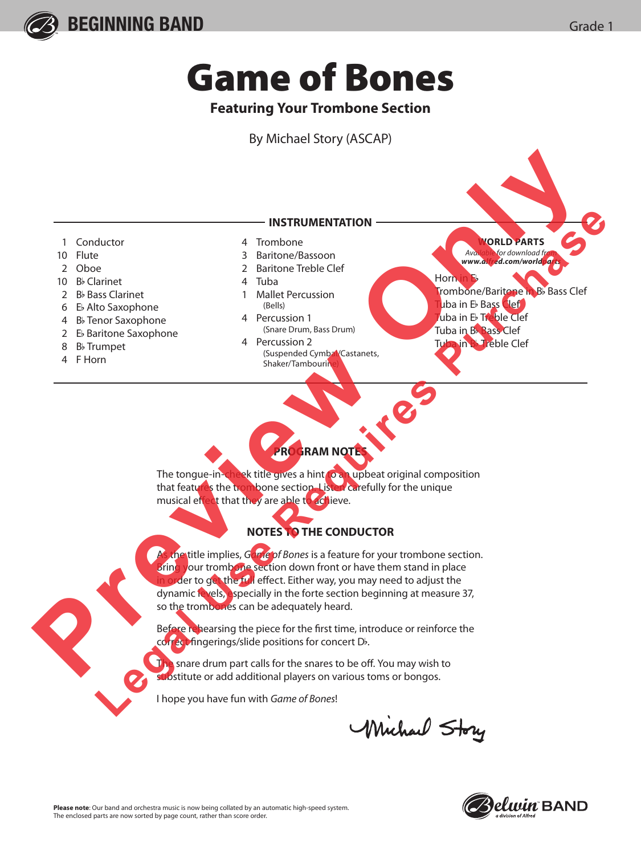

**BEGINNING BAND**

## Game of Bones

**Featuring Your Trombone Section**

By Michael Story (ASCAP)

**INSTRUMENTATION** 1 Conductor 10 Flute 2 Oboe 10 Bb Clarinet 2 Bb Bass Clarinet 6 Eb Alto Saxophone 4 Bb Tenor Saxophone 2 Eb Baritone Saxophone 8 Bb Trumpet 4 F Horn 4 Trombone 3 Baritone/Bassoon 2 Baritone Treble Clef 4 Tuba 1 Mallet Percussion (Bells) 4 Percussion 1 (Snare Drum, Bass Drum) 4 Percussion 2 (Suspended Cymbal/Castanets, Shaker/Tambourin **WORLD PARTS** *Available for download fr www.alfred.com/worldparts* Horn in E Trombone/Baritone in Bb Bass Clef uba in E<sub>b</sub> Bass Cleft **Juba in El Treble Clef** Tuba in B**B** Bass Clef Tuba in Bb Treble Clef **Preview of the control of the control of the control of the control of the control of the control of the control of the control of the control of the control of the control of the control of the control of the control of** How the content of the main of the main of the main of the state of the main of the content of the main of the main of the main of the main of the main of the main of the main of the main of the main of the main of the mai

## **PROGRAM NOTES**

The tongue-in-cheek title gives a hint to an upbeat original composition that features the trombone section. Listen carefully for the unique musical effect that they are able to achieve.

## **NOTES TO THE CONDUCTOR**

As the title implies, *Game* of Bones is a feature for your trombone section. Bring your trombone section down front or have them stand in place **inder to get the full effect. Either way, you may need to adjust the** dynamic levels, especially in the forte section beginning at measure 37, so the trombones can be adequately heard.

Before rehearsing the piece for the first time, introduce or reinforce the correct fingerings/slide positions for concert Db.

The snare drum part calls for the snares to be off. You may wish to substitute or add additional players on various toms or bongos.

I hope you have fun with *Game of Bones*!



**Please note**: Our band and orchestra music is now being collated by an automatic high-speed system. The enclosed parts are now sorted by page count, rather than score order.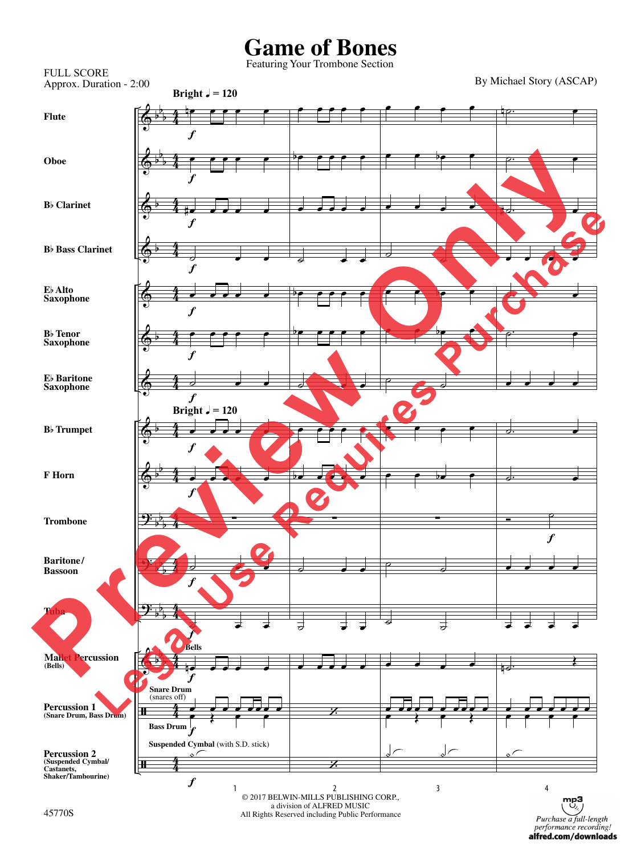## **Game of Bones**

FULL SCORE **FULL SCORE FULL SCORE** By Michael Story (ASCAP) Approx. Duration - 2:00 **Bright**  $\sqrt{ } = 120$ œ œ œ œ œ œ œ œ œ b œn œ œ œ œ **t**p: **e** 4 b **Flute** b  $\bm{\Phi}$ 4 f b œ œ œb œ **Prediction of the Contract of Contract of Contract of Contract of Contract of Contract of Contract of Contract of Contract of Contract of Contract of Contract of Contract of Contract of Contract of Contract of Contract of** 4  $be$   $ep$   $ep$   $ep$ œ œ œ œ œ  $\overline{r}$   $\overline{r}$   $\overline{r}$ b **Oboe** b  $\bm{\Phi}$ 4 f 4 b **B**b **Clarinet** œ œ œ œ  $\bm{\Phi}$ 4 . . . . . œ# œ œ œ œ  $\overline{a}$  .  $\overline{a}$  .  $\overline{a}$  ,  $\overline{a}$  ,  $\overline{a}$ Legal Use Requires Purchase f 4 b **B**b **Bass Clarinet**  $\bm{\Phi}$ 4  $\frac{1}{\sqrt{2}}$ **d** and a set of  $\theta$  $\overline{\mathbf{e}}$  $\overrightarrow{e}$   $\overrightarrow{e}$   $\overrightarrow{e}$ f 4 e e e e e **E**b **Alto**   $be$   $ep$   $ep$   $ep$ œ œ œ œ œ **E**  $\bm{\Phi}$ 4 **Saxophone** f œ œ œb œ œb œ œ œ œ ˙. œ 4 œ œ œ œ œ **B**b **Tenor Saxophone** b  $\bm{\Phi}$ 4 f 4  $\overline{a}$ **E**b **Baritone**  ˙ œ œ **。。。。**  $\Phi$ 4  $\overline{a}$ **Saxophone** f **Bright**  $\sqrt{ } = 120$ 4  $\overline{\mathbf{e}}$   $\overline{\mathbf{e}}$   $\overline{\mathbf{e}}$ b  $e$   $e$   $e$   $e$ œ œ œ œ œ ˙. œ **B**b **Trumpet**  $\Phi$ 4 f b 4 b  $e$   $e$   $b$   $e$   $e$ œb œ œ œ œ ˙. œ **F Horn**  $\pmb{\Phi}$  $rac{4}{4}$ œ œ œ œ œ f  $\overline{\phantom{a}}$ <u>.</u> 4 b ∑ ∑ ∑ **Trombone** b 4 b f 9: 4 **Baritone /** b  $^{\circ}$   $^{\circ}$  $\frac{1}{2}$ **。。。。** b  $\frac{4}{7}$ ˙ œ œ b **Bassoon** f <u>.</u> 4 b **Tuba** b  $\frac{4}{4}$ b  $\frac{1}{\sigma}$   $\frac{1}{\sigma}$  $\frac{1}{2}$   $\frac{1}{2}$   $\frac{1}{2}$ œ œ œ œ ˙ œ œ f **Bells** b 4 **Mallet Percussion** b  $\overrightarrow{r}$ . b  $\overline{\mathbf{Q}}$  $\frac{4}{4}$ œ œ œ œ œ œ œ œ œ  $\overline{e}$   $\overline{e}$   $\overline{e}$   $\overline{e}$   $\overline{e}$ **(Bells) Snare Drum**  f 4 (snares off) œ œ <sup>œ</sup> <sup>œ</sup> <sup>œ</sup> <sup>œ</sup> <sup>œ</sup> <sup>œ</sup> <sup>œ</sup> <sup>Œ</sup> <sup>œ</sup> <sup>œ</sup> <sup>œ</sup> <sup>œ</sup> <sup>œ</sup> <sup>œ</sup> <sup>œ</sup> <sup>œ</sup> <sup>œ</sup> <sup>œ</sup> <sup>œ</sup> <sup>œ</sup> <sup>œ</sup> <sup>Œ</sup> <sup>œ</sup> <sup>Œ</sup> œ œ <sup>œ</sup> <sup>œ</sup> <sup>œ</sup> <sup>œ</sup> <sup>œ</sup> <sup>œ</sup> <sup>œ</sup> <sup>œ</sup> <sup>œ</sup> **Percussion 1**  $\bf{H}$  $rac{4}{4}$  $\frac{\gamma}{\gamma}$ **(Snare Drum, Bass Drum) Bass Drum** f **Suspended Cymbal** (with S.D. stick)  $\sqrt{2}$  $\frac{8}{1}$ **Percussion 2 (Suspended Cymbal/ Castanets, Shaker/Tambourine)** 4  $\bf{H}$ 4  $\frac{\gamma}{\gamma}$ f 3 1 2 4 © 2017 BELWIN-MILLS PUBLISHING CORP., mp3<br>( ს<sub>ა</sub>/

a division of ALFRED MUSIC All Rights Reserved including Public Performance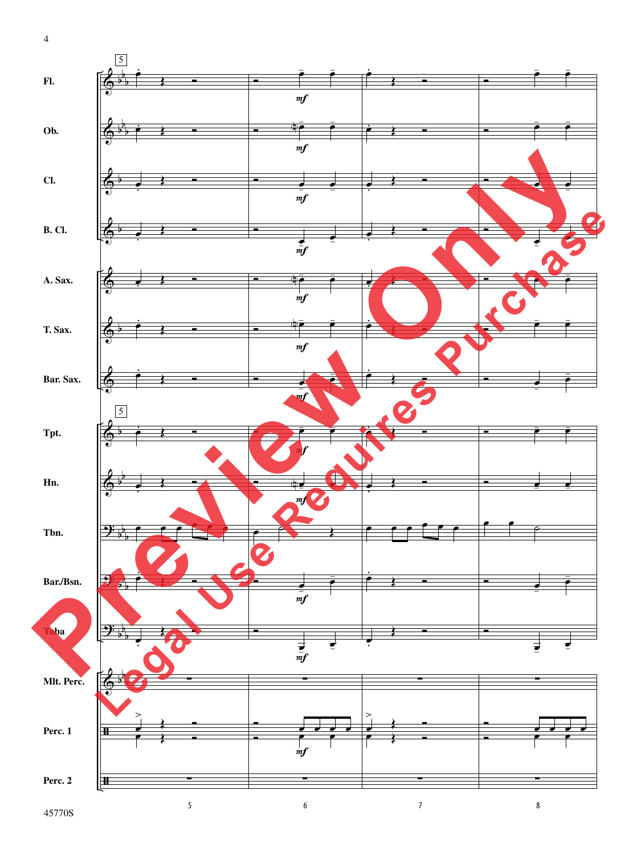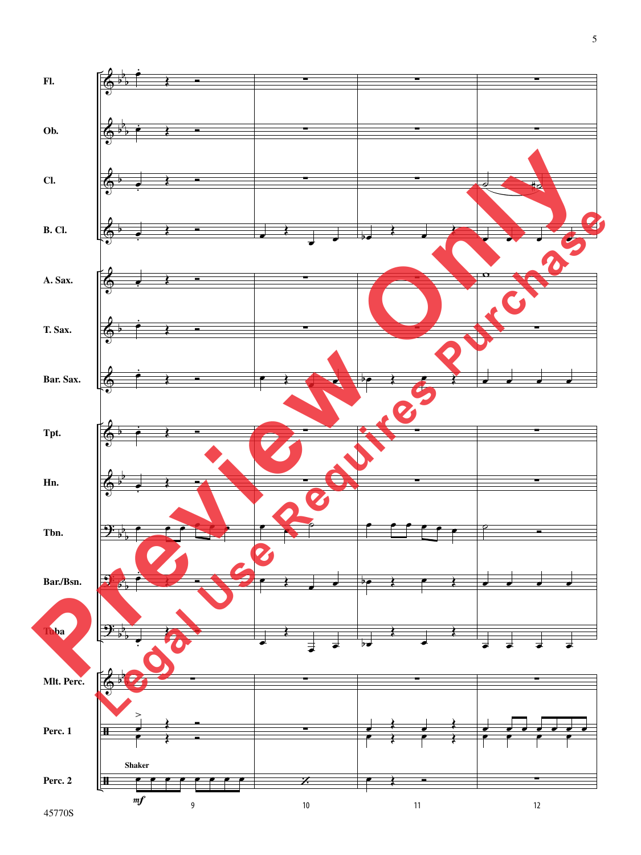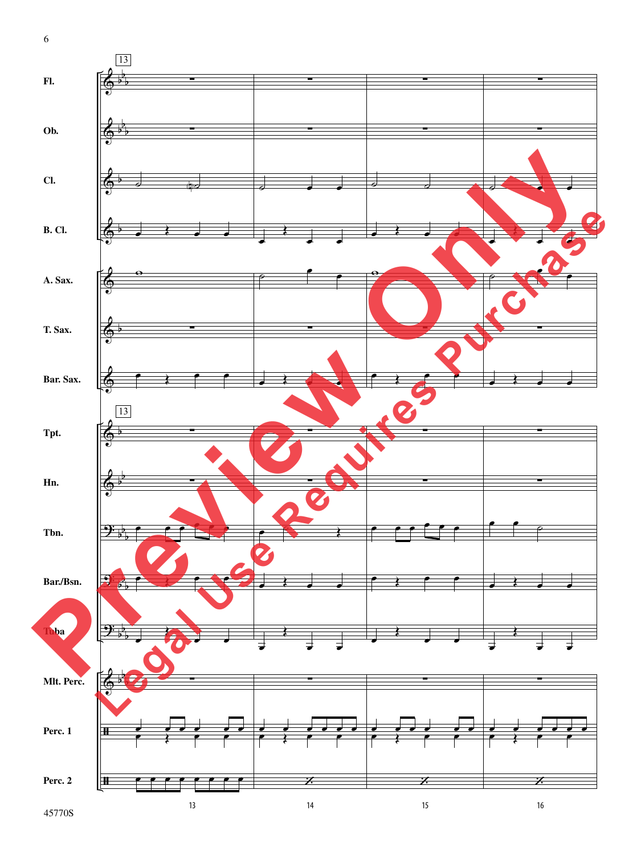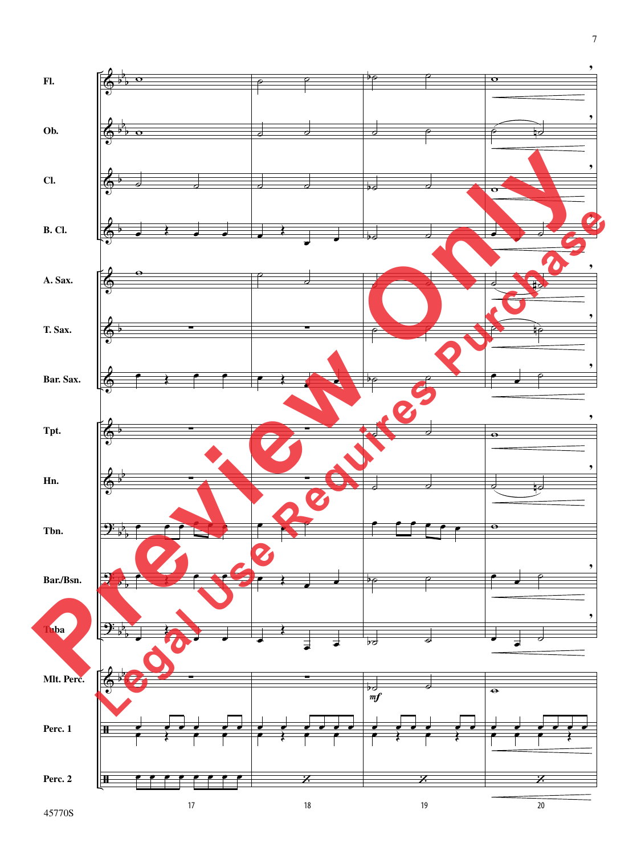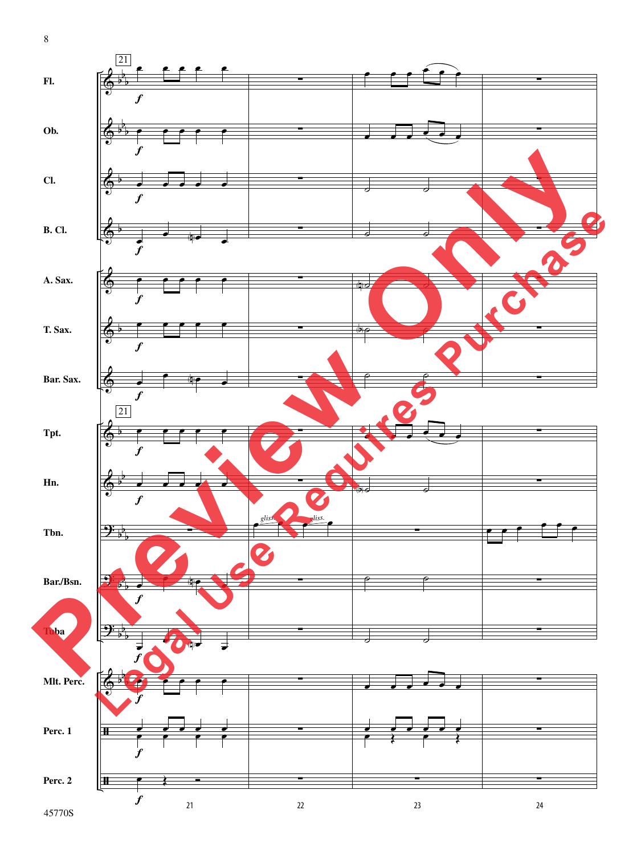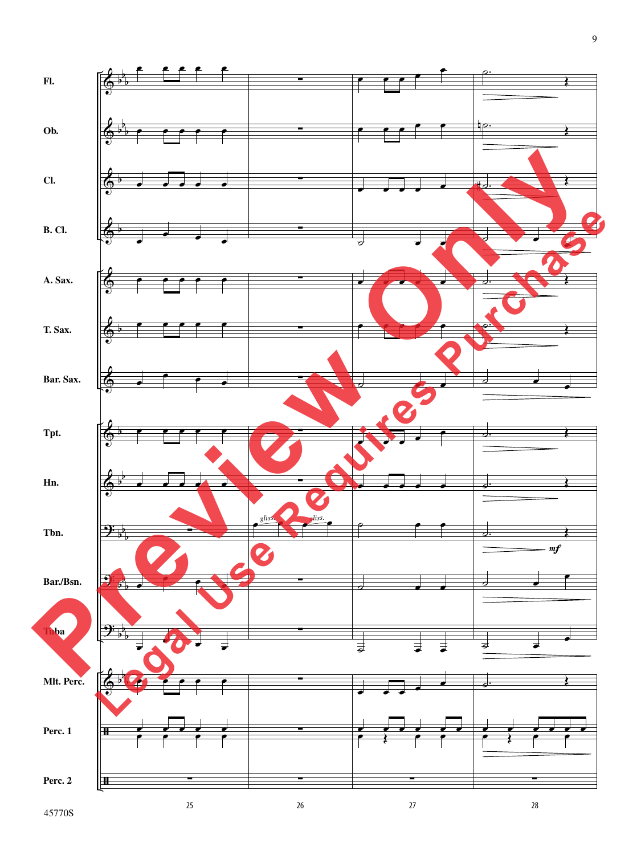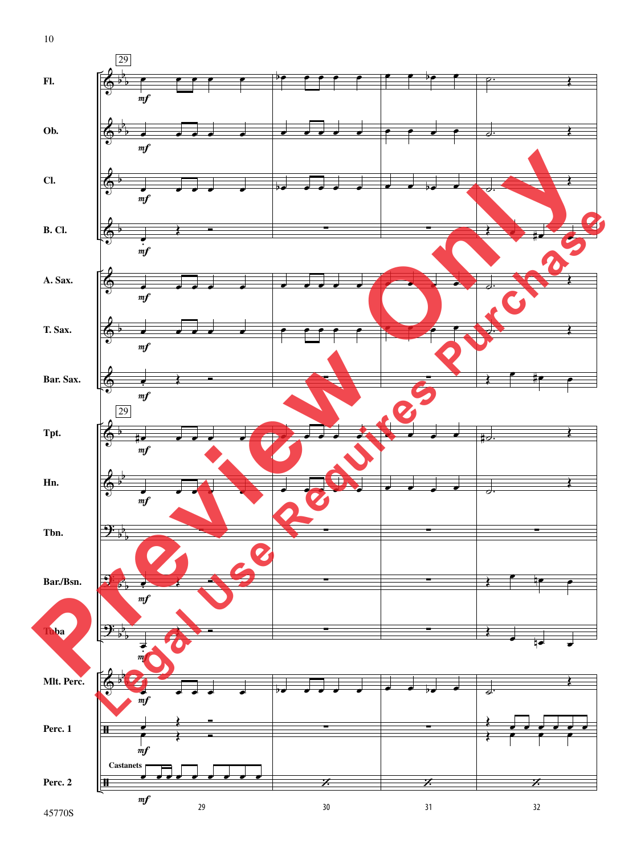

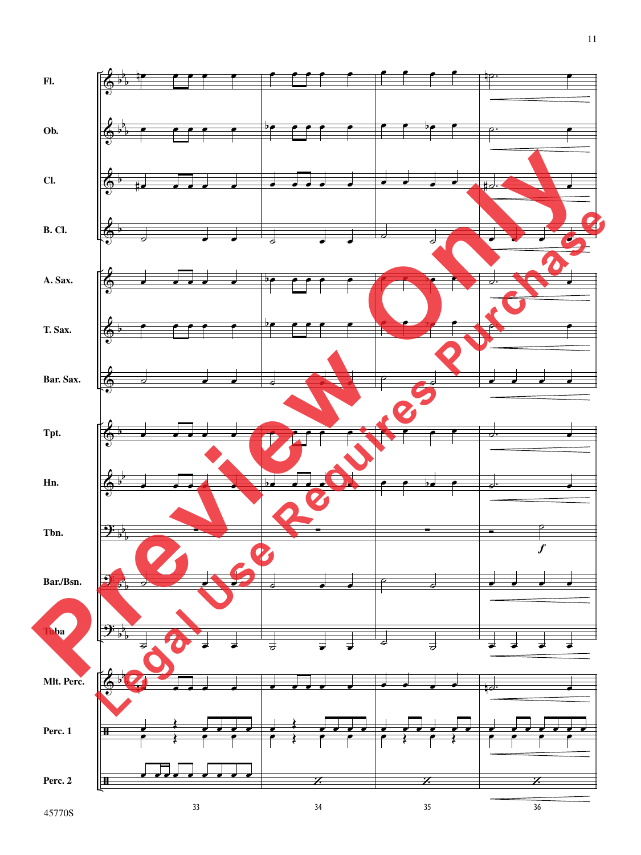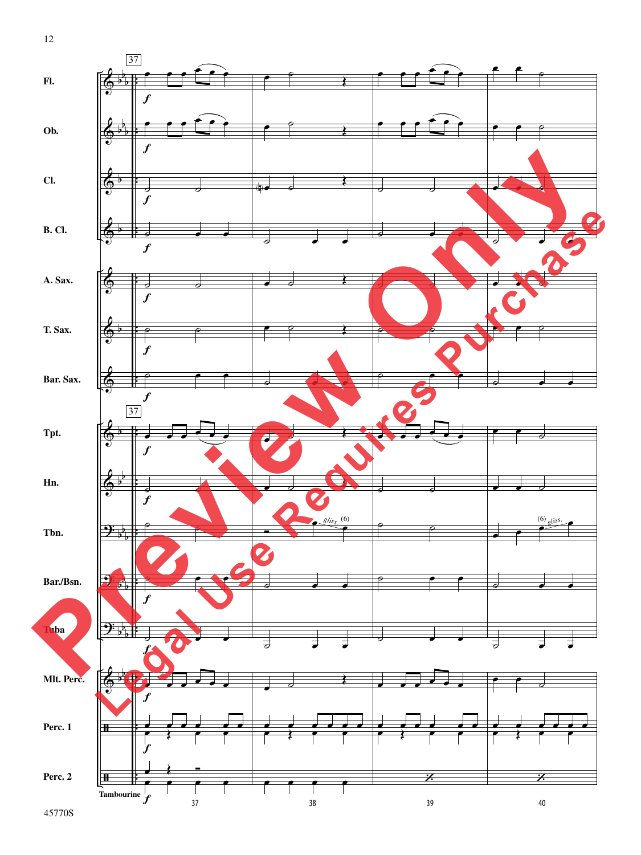

45770S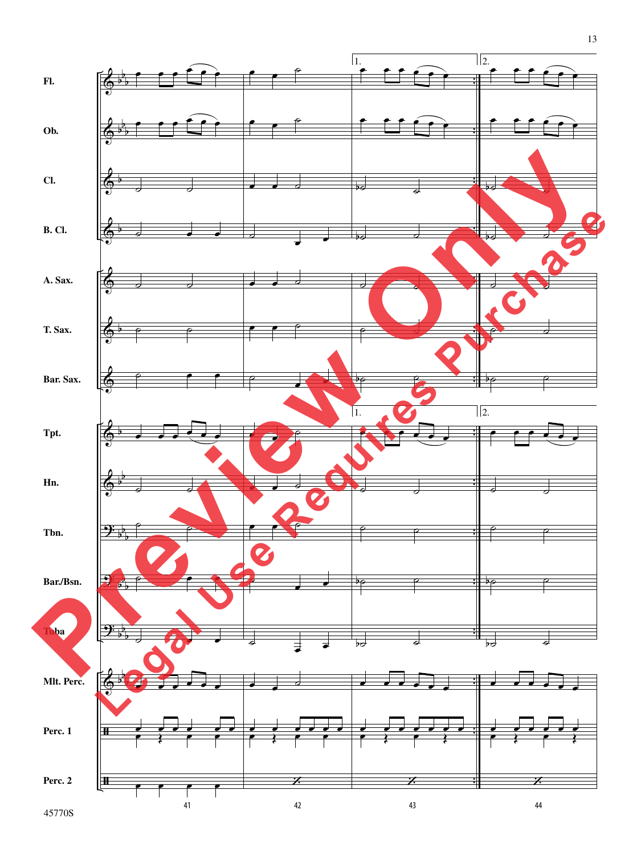